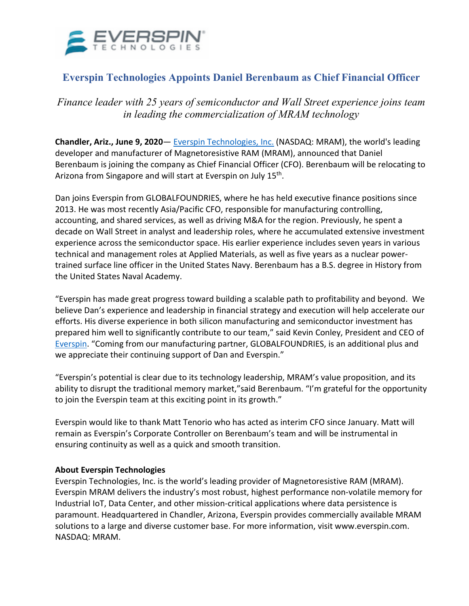

## **Everspin Technologies Appoints Daniel Berenbaum as Chief Financial Officer**

*Finance leader with 25 years of semiconductor and Wall Street experience joins team in leading the commercialization of MRAM technology* 

**Chandler, Ariz., June 9, 2020**— [Everspin Technologies, Inc.](https://www.everspin.com/) (NASDAQ: MRAM), the world's leading developer and manufacturer of Magnetoresistive RAM (MRAM), announced that Daniel Berenbaum is joining the company as Chief Financial Officer (CFO). Berenbaum will be relocating to Arizona from Singapore and will start at Everspin on July 15<sup>th</sup>.

Dan joins Everspin from GLOBALFOUNDRIES, where he has held executive finance positions since 2013. He was most recently Asia/Pacific CFO, responsible for manufacturing controlling, accounting, and shared services, as well as driving M&A for the region. Previously, he spent a decade on Wall Street in analyst and leadership roles, where he accumulated extensive investment experience across the semiconductor space. His earlier experience includes seven years in various technical and management roles at Applied Materials, as well as five years as a nuclear powertrained surface line officer in the United States Navy. Berenbaum has a B.S. degree in History from the United States Naval Academy.

"Everspin has made great progress toward building a scalable path to profitability and beyond. We believe Dan's experience and leadership in financial strategy and execution will help accelerate our efforts. His diverse experience in both silicon manufacturing and semiconductor investment has prepared him well to significantly contribute to our team," said Kevin Conley, President and CEO of [Everspin.](https://www.everspin.com/) "Coming from our manufacturing partner, GLOBALFOUNDRIES, is an additional plus and we appreciate their continuing support of Dan and Everspin."

"Everspin's potential is clear due to its technology leadership, MRAM's value proposition, and its ability to disrupt the traditional memory market,"said Berenbaum. "I'm grateful for the opportunity to join the Everspin team at this exciting point in its growth."

Everspin would like to thank Matt Tenorio who has acted as interim CFO since January. Matt will remain as Everspin's Corporate Controller on Berenbaum's team and will be instrumental in ensuring continuity as well as a quick and smooth transition.

## **About Everspin Technologies**

Everspin Technologies, Inc. is the world's leading provider of Magnetoresistive RAM (MRAM). Everspin MRAM delivers the industry's most robust, highest performance non-volatile memory for Industrial IoT, Data Center, and other mission-critical applications where data persistence is paramount. Headquartered in Chandler, Arizona, Everspin provides commercially available MRAM solutions to a large and diverse customer base. For more information, visit [www.everspin.com.](about:blank) NASDAQ: MRAM.